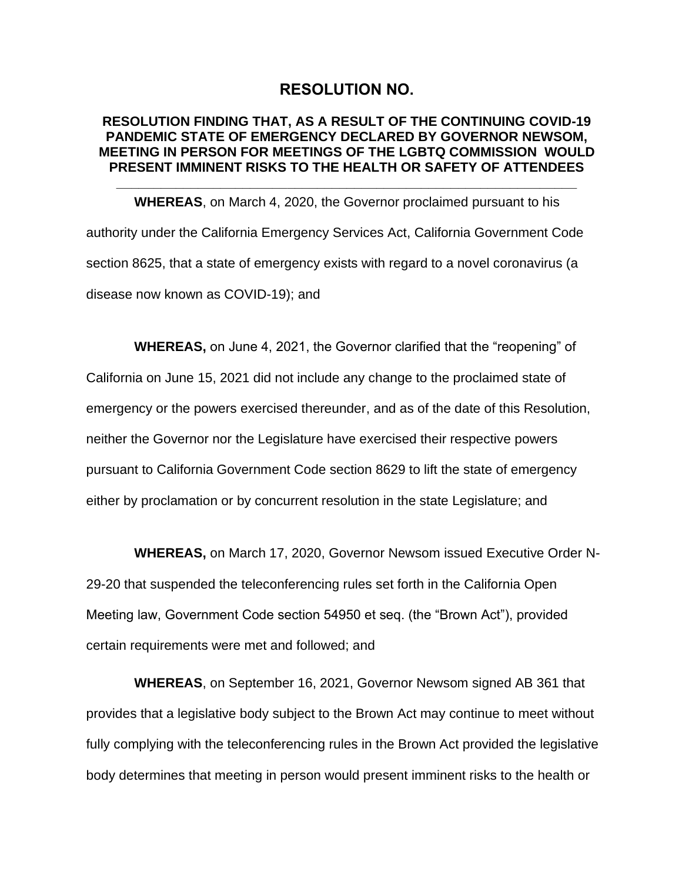# **RESOLUTION NO.**

#### **RESOLUTION FINDING THAT, AS A RESULT OF THE CONTINUING COVID-19 PANDEMIC STATE OF EMERGENCY DECLARED BY GOVERNOR NEWSOM, MEETING IN PERSON FOR MEETINGS OF THE LGBTQ COMMISSION WOULD PRESENT IMMINENT RISKS TO THE HEALTH OR SAFETY OF ATTENDEES**

**\_\_\_\_\_\_\_\_\_\_\_\_\_\_\_\_\_\_\_\_\_\_\_\_\_\_\_\_\_\_\_\_\_\_\_\_\_\_\_\_\_\_\_\_\_\_\_\_\_\_\_\_\_\_\_\_\_\_\_\_\_\_**

**WHEREAS**, on March 4, 2020, the Governor proclaimed pursuant to his authority under the California Emergency Services Act, California Government Code section 8625, that a state of emergency exists with regard to a novel coronavirus (a disease now known as COVID-19); and

**WHEREAS,** on June 4, 2021, the Governor clarified that the "reopening" of California on June 15, 2021 did not include any change to the proclaimed state of emergency or the powers exercised thereunder, and as of the date of this Resolution, neither the Governor nor the Legislature have exercised their respective powers pursuant to California Government Code section 8629 to lift the state of emergency either by proclamation or by concurrent resolution in the state Legislature; and

**WHEREAS,** on March 17, 2020, Governor Newsom issued Executive Order N-29-20 that suspended the teleconferencing rules set forth in the California Open Meeting law, Government Code section 54950 et seq. (the "Brown Act"), provided certain requirements were met and followed; and

**WHEREAS**, on September 16, 2021, Governor Newsom signed AB 361 that provides that a legislative body subject to the Brown Act may continue to meet without fully complying with the teleconferencing rules in the Brown Act provided the legislative body determines that meeting in person would present imminent risks to the health or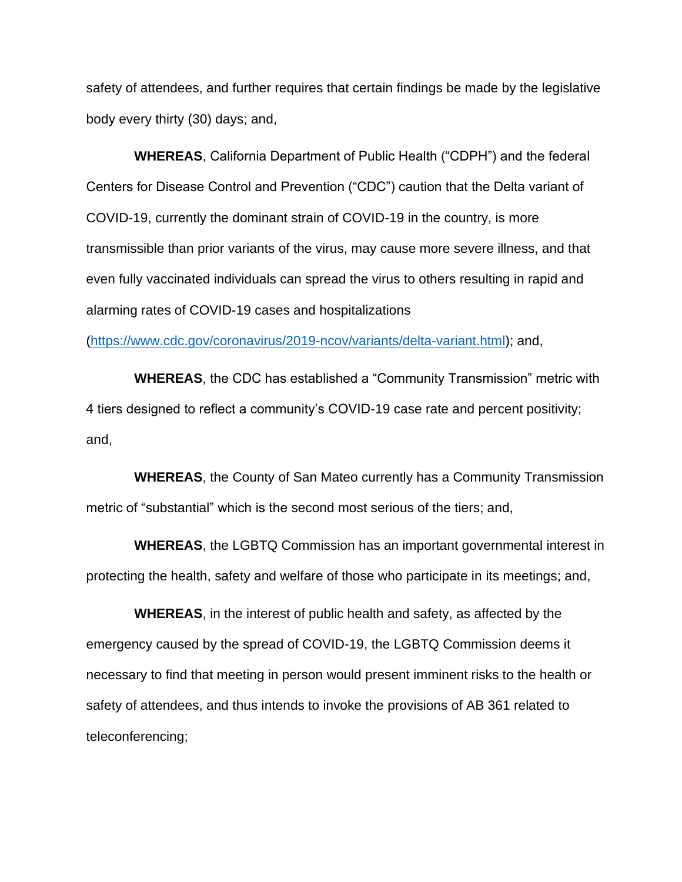safety of attendees, and further requires that certain findings be made by the legislative body every thirty (30) days; and,

**WHEREAS**, California Department of Public Health ("CDPH") and the federal Centers for Disease Control and Prevention ("CDC") caution that the Delta variant of COVID-19, currently the dominant strain of COVID-19 in the country, is more transmissible than prior variants of the virus, may cause more severe illness, and that even fully vaccinated individuals can spread the virus to others resulting in rapid and alarming rates of COVID-19 cases and hospitalizations

[\(https://www.cdc.gov/coronavirus/2019-ncov/variants/delta-variant.html\)](https://www.cdc.gov/coronavirus/2019-ncov/variants/delta-variant.html); and,

**WHEREAS**, the CDC has established a "Community Transmission" metric with 4 tiers designed to reflect a community's COVID-19 case rate and percent positivity; and,

**WHEREAS**, the County of San Mateo currently has a Community Transmission metric of "substantial" which is the second most serious of the tiers; and,

**WHEREAS**, the LGBTQ Commission has an important governmental interest in protecting the health, safety and welfare of those who participate in its meetings; and,

**WHEREAS**, in the interest of public health and safety, as affected by the emergency caused by the spread of COVID-19, the LGBTQ Commission deems it necessary to find that meeting in person would present imminent risks to the health or safety of attendees, and thus intends to invoke the provisions of AB 361 related to teleconferencing;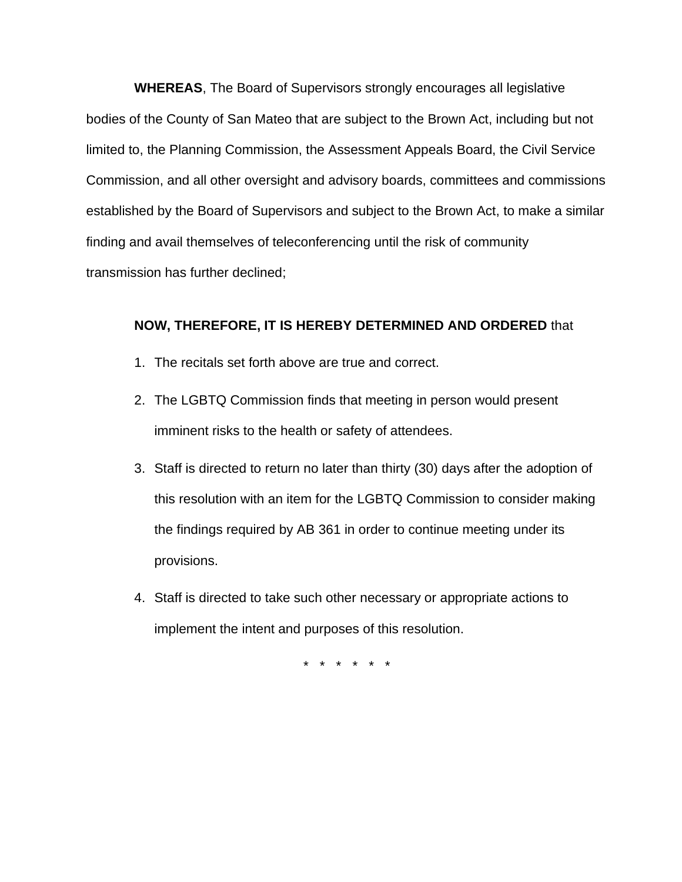**WHEREAS**, The Board of Supervisors strongly encourages all legislative bodies of the County of San Mateo that are subject to the Brown Act, including but not limited to, the Planning Commission, the Assessment Appeals Board, the Civil Service Commission, and all other oversight and advisory boards, committees and commissions established by the Board of Supervisors and subject to the Brown Act, to make a similar finding and avail themselves of teleconferencing until the risk of community transmission has further declined;

#### **NOW, THEREFORE, IT IS HEREBY DETERMINED AND ORDERED** that

- 1. The recitals set forth above are true and correct.
- 2. The LGBTQ Commission finds that meeting in person would present imminent risks to the health or safety of attendees.
- 3. Staff is directed to return no later than thirty (30) days after the adoption of this resolution with an item for the LGBTQ Commission to consider making the findings required by AB 361 in order to continue meeting under its provisions.
- 4. Staff is directed to take such other necessary or appropriate actions to implement the intent and purposes of this resolution.

\* \* \* \* \* \*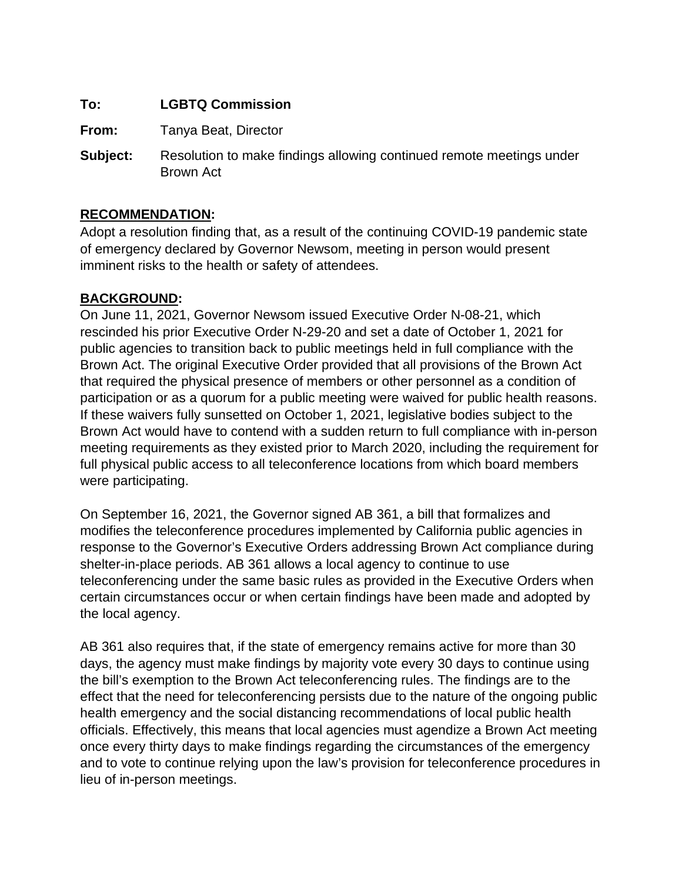# **To: LGBTQ Commission**

**From:** Tanya Beat, Director

**Subject:** Resolution to make findings allowing continued remote meetings under Brown Act

# **RECOMMENDATION:**

Adopt a resolution finding that, as a result of the continuing COVID-19 pandemic state of emergency declared by Governor Newsom, meeting in person would present imminent risks to the health or safety of attendees.

# **BACKGROUND:**

On June 11, 2021, Governor Newsom issued Executive Order N-08-21, which rescinded his prior Executive Order N-29-20 and set a date of October 1, 2021 for public agencies to transition back to public meetings held in full compliance with the Brown Act. The original Executive Order provided that all provisions of the Brown Act that required the physical presence of members or other personnel as a condition of participation or as a quorum for a public meeting were waived for public health reasons. If these waivers fully sunsetted on October 1, 2021, legislative bodies subject to the Brown Act would have to contend with a sudden return to full compliance with in-person meeting requirements as they existed prior to March 2020, including the requirement for full physical public access to all teleconference locations from which board members were participating.

On September 16, 2021, the Governor signed AB 361, a bill that formalizes and modifies the teleconference procedures implemented by California public agencies in response to the Governor's Executive Orders addressing Brown Act compliance during shelter-in-place periods. AB 361 allows a local agency to continue to use teleconferencing under the same basic rules as provided in the Executive Orders when certain circumstances occur or when certain findings have been made and adopted by the local agency.

AB 361 also requires that, if the state of emergency remains active for more than 30 days, the agency must make findings by majority vote every 30 days to continue using the bill's exemption to the Brown Act teleconferencing rules. The findings are to the effect that the need for teleconferencing persists due to the nature of the ongoing public health emergency and the social distancing recommendations of local public health officials. Effectively, this means that local agencies must agendize a Brown Act meeting once every thirty days to make findings regarding the circumstances of the emergency and to vote to continue relying upon the law's provision for teleconference procedures in lieu of in-person meetings.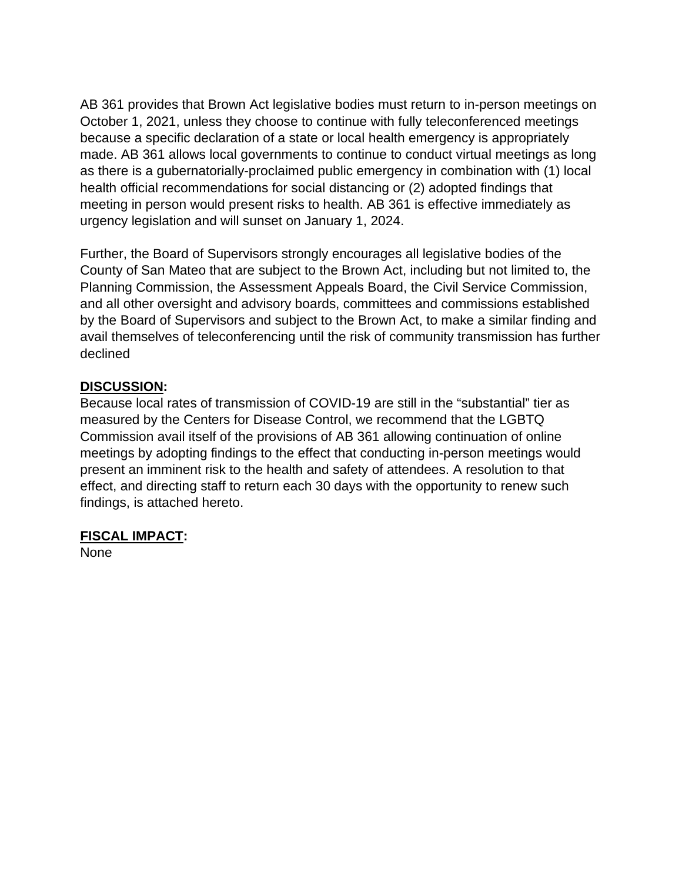AB 361 provides that Brown Act legislative bodies must return to in-person meetings on October 1, 2021, unless they choose to continue with fully teleconferenced meetings because a specific declaration of a state or local health emergency is appropriately made. AB 361 allows local governments to continue to conduct virtual meetings as long as there is a gubernatorially-proclaimed public emergency in combination with (1) local health official recommendations for social distancing or (2) adopted findings that meeting in person would present risks to health. AB 361 is effective immediately as urgency legislation and will sunset on January 1, 2024.

Further, the Board of Supervisors strongly encourages all legislative bodies of the County of San Mateo that are subject to the Brown Act, including but not limited to, the Planning Commission, the Assessment Appeals Board, the Civil Service Commission, and all other oversight and advisory boards, committees and commissions established by the Board of Supervisors and subject to the Brown Act, to make a similar finding and avail themselves of teleconferencing until the risk of community transmission has further declined

# **DISCUSSION:**

Because local rates of transmission of COVID-19 are still in the "substantial" tier as measured by the Centers for Disease Control, we recommend that the LGBTQ Commission avail itself of the provisions of AB 361 allowing continuation of online meetings by adopting findings to the effect that conducting in-person meetings would present an imminent risk to the health and safety of attendees. A resolution to that effect, and directing staff to return each 30 days with the opportunity to renew such findings, is attached hereto.

# **FISCAL IMPACT:**

None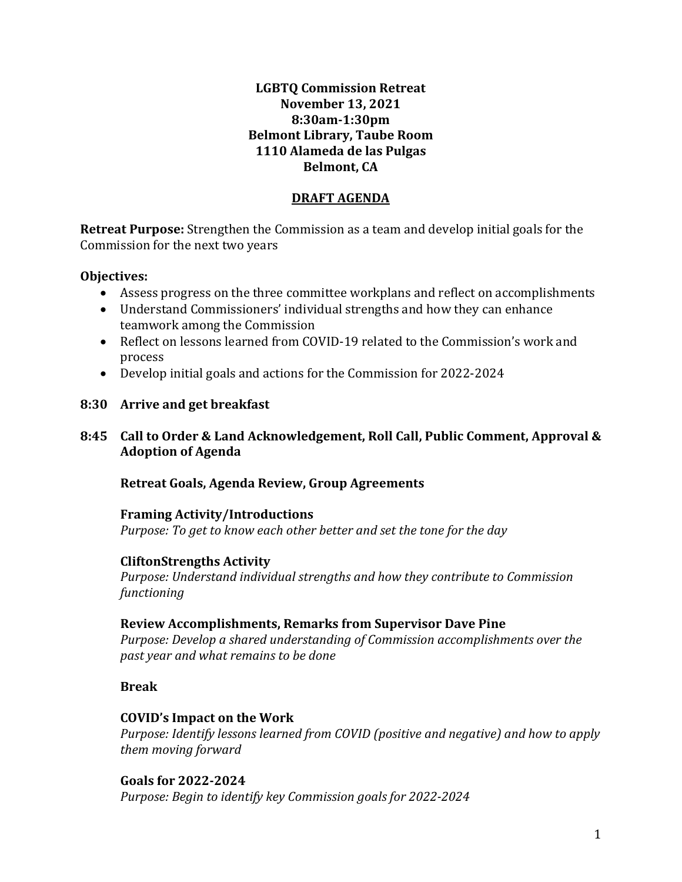### **LGBTQ Commission Retreat November 13, 2021 8:30am-1:30pm Belmont Library, Taube Room 1110 Alameda de las Pulgas Belmont, CA**

#### **DRAFT AGENDA**

**Retreat Purpose:** Strengthen the Commission as a team and develop initial goals for the Commission for the next two years

# **Objectives:**

- Assess progress on the three committee workplans and reflect on accomplishments
- Understand Commissioners' individual strengths and how they can enhance teamwork among the Commission
- Reflect on lessons learned from COVID-19 related to the Commission's work and process
- Develop initial goals and actions for the Commission for 2022-2024

# **8:30 Arrive and get breakfast**

# **8:45 Call to Order & Land Acknowledgement, Roll Call, Public Comment, Approval & Adoption of Agenda**

#### **Retreat Goals, Agenda Review, Group Agreements**

#### **Framing Activity/Introductions**  *Purpose: To get to know each other better and set the tone for the day*

# **CliftonStrengths Activity**

*Purpose: Understand individual strengths and how they contribute to Commission functioning* 

#### **Review Accomplishments, Remarks from Supervisor Dave Pine**

*Purpose: Develop a shared understanding of Commission accomplishments over the past year and what remains to be done*

# **Break**

#### **COVID's Impact on the Work**

*Purpose: Identify lessons learned from COVID (positive and negative) and how to apply them moving forward* 

**Goals for 2022-2024** *Purpose: Begin to identify key Commission goals for 2022-2024*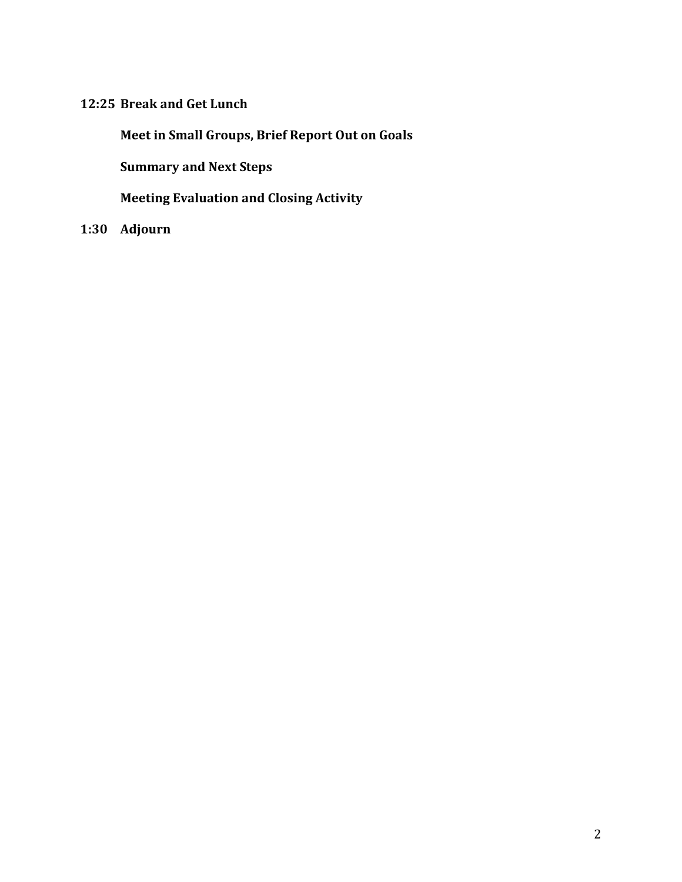# **12:25 Break and Get Lunch**

**Meet in Small Groups, Brief Report Out on Goals**

**Summary and Next Steps**

**Meeting Evaluation and Closing Activity**

**1:30 Adjourn**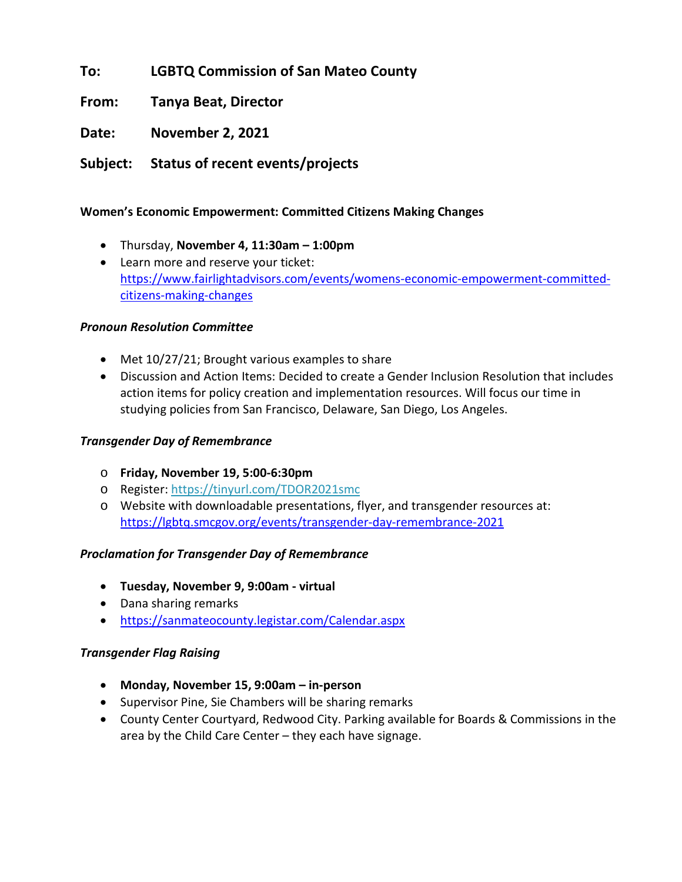**To: LGBTQ Commission of San Mateo County**

**From: Tanya Beat, Director**

**Date: November 2, 2021**

**Subject: Status of recent events/projects**

#### **Women's Economic Empowerment: Committed Citizens Making Changes**

- Thursday, **November 4, 11:30am – 1:00pm**
- Learn more and reserve your ticket: [https://www.fairlightadvisors.com/events/womens-economic-empowerment-committed](https://www.fairlightadvisors.com/events/womens-economic-empowerment-committed-citizens-making-changes)[citizens-making-changes](https://www.fairlightadvisors.com/events/womens-economic-empowerment-committed-citizens-making-changes)

#### *Pronoun Resolution Committee*

- Met 10/27/21; Brought various examples to share
- Discussion and Action Items: Decided to create a Gender Inclusion Resolution that includes action items for policy creation and implementation resources. Will focus our time in studying policies from San Francisco, Delaware, San Diego, Los Angeles.

#### *Transgender Day of Remembrance*

- o **Friday, November 19, 5:00-6:30pm**
- o Register[: https://tinyurl.com/TDOR2021smc](https://tinyurl.com/TDOR2021smc)
- o Website with downloadable presentations, flyer, and transgender resources at: <https://lgbtq.smcgov.org/events/transgender-day-remembrance-2021>

#### *Proclamation for Transgender Day of Remembrance*

- **Tuesday, November 9, 9:00am - virtual**
- Dana sharing remarks
- <https://sanmateocounty.legistar.com/Calendar.aspx>

#### *Transgender Flag Raising*

- **Monday, November 15, 9:00am – in-person**
- Supervisor Pine, Sie Chambers will be sharing remarks
- County Center Courtyard, Redwood City. Parking available for Boards & Commissions in the area by the Child Care Center – they each have signage.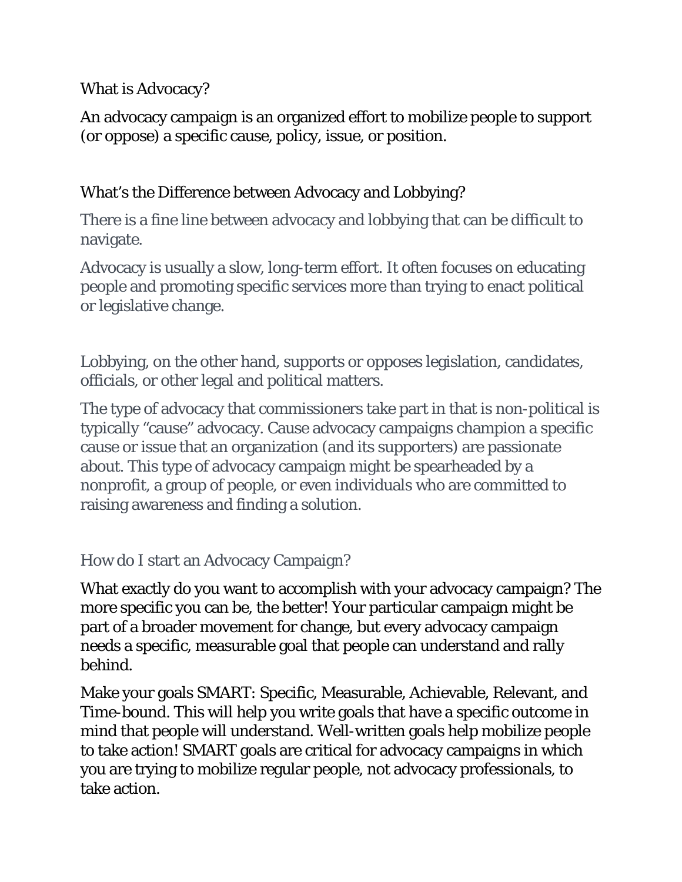What is Advocacy?

An advocacy campaign is an organized effort to mobilize people to support (or oppose) a specific cause, policy, issue, or position.

# What's the Difference between Advocacy and Lobbying?

There is a fine line between advocacy and lobbying that can be difficult to navigate.

Advocacy is usually a slow, long-term effort. It often focuses on educating people and promoting specific services more than trying to enact political or legislative change.

Lobbying, on the other hand, supports or opposes legislation, candidates, officials, or other legal and political matters.

The type of advocacy that commissioners take part in that is non-political is typically "cause" advocacy. Cause advocacy campaigns champion a specific cause or issue that an organization (and its supporters) are passionate about. This type of advocacy campaign might be spearheaded by a nonprofit, a group of people, or even individuals who are committed to raising awareness and finding a solution.

How do I start an Advocacy Campaign?

What exactly do you want to accomplish with your advocacy campaign? The more specific you can be, the better! Your particular campaign might be part of a broader movement for change, but every advocacy campaign needs a specific, measurable goal that people can understand and rally behind.

Make your goals SMART: Specific, Measurable, Achievable, Relevant, and Time-bound. This will help you write goals that have a specific outcome in mind that people will understand. Well-written goals help mobilize people to take action! SMART goals are critical for advocacy campaigns in which you are trying to mobilize regular people, not advocacy professionals, to take action.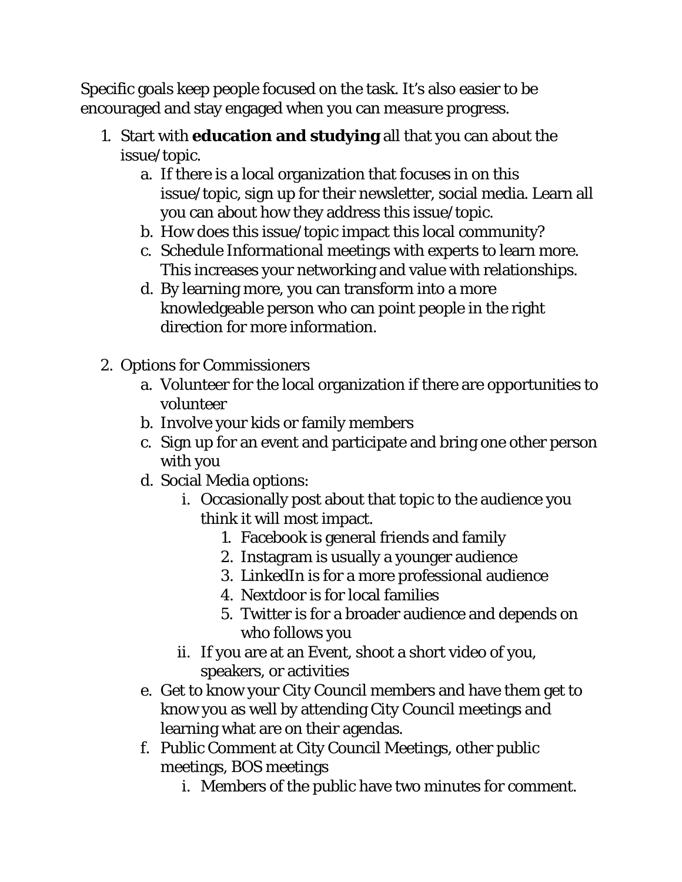Specific goals keep people focused on the task. It's also easier to be encouraged and stay engaged when you can measure progress.

- 1. Start with **education and studying** all that you can about the issue/topic.
	- a. If there is a local organization that focuses in on this issue/topic, sign up for their newsletter, social media. Learn all you can about how they address this issue/topic.
	- b. How does this issue/topic impact this local community?
	- c. Schedule Informational meetings with experts to learn more. This increases your networking and value with relationships.
	- d. By learning more, you can transform into a more knowledgeable person who can point people in the right direction for more information.
- 2. Options for Commissioners
	- a. Volunteer for the local organization if there are opportunities to volunteer
	- b. Involve your kids or family members
	- c. Sign up for an event and participate and bring one other person with you
	- d. Social Media options:
		- i. Occasionally post about that topic to the audience you think it will most impact.
			- 1. Facebook is general friends and family
			- 2. Instagram is usually a younger audience
			- 3. LinkedIn is for a more professional audience
			- 4. Nextdoor is for local families
			- 5. Twitter is for a broader audience and depends on who follows you
		- ii. If you are at an Event, shoot a short video of you, speakers, or activities
	- e. Get to know your City Council members and have them get to know you as well by attending City Council meetings and learning what are on their agendas.
	- f. Public Comment at City Council Meetings, other public meetings, BOS meetings
		- i. Members of the public have two minutes for comment.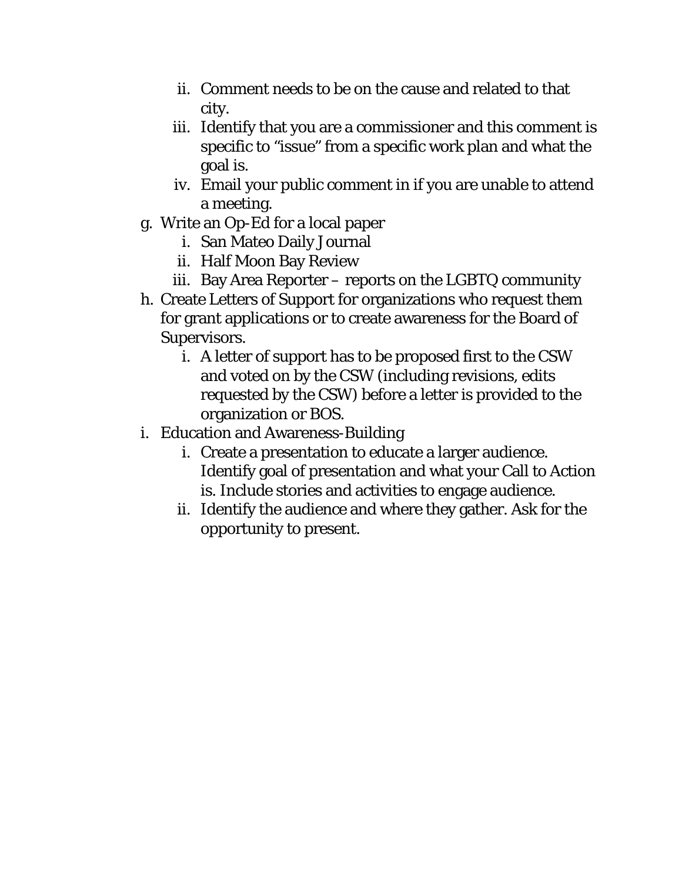- ii. Comment needs to be on the cause and related to that city.
- iii. Identify that you are a commissioner and this comment is specific to "issue" from a specific work plan and what the goal is.
- iv. Email your public comment in if you are unable to attend a meeting.
- g. Write an Op-Ed for a local paper
	- i. San Mateo Daily Journal
	- ii. Half Moon Bay Review
	- iii. Bay Area Reporter reports on the LGBTQ community
- h. Create Letters of Support for organizations who request them for grant applications or to create awareness for the Board of Supervisors.
	- i. A letter of support has to be proposed first to the CSW and voted on by the CSW (including revisions, edits requested by the CSW) before a letter is provided to the organization or BOS.
- i. Education and Awareness-Building
	- i. Create a presentation to educate a larger audience. Identify goal of presentation and what your Call to Action is. Include stories and activities to engage audience.
	- ii. Identify the audience and where they gather. Ask for the opportunity to present.